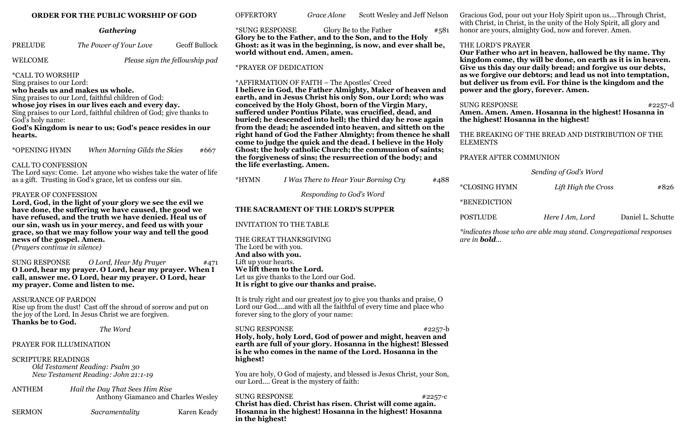#### **ORDER FOR THE PUBLIC WORSHIP OF GOD**

### *Gathering*

| <b>PRELUDE</b> | The Power of Your Love | <b>Geoff Bullock</b> |
|----------------|------------------------|----------------------|
|----------------|------------------------|----------------------|

WELCOME *Please sign the fellowship pad* 

\*CALL TO WORSHIP

Sing praises to our Lord:

**who heals us and makes us whole.**

Sing praises to our Lord, faithful children of God:

**whose joy rises in our lives each and every day.**

Sing praises to our Lord, faithful children of God; give thanks to God's holy name:

**God's Kingdom is near to us; God's peace resides in our hearts.** 

\*OPENING HYMN *When Morning Gilds the Skies* #667

#### CALL TO CONFESSION

The Lord says: Come. Let anyone who wishes take the water of life as a gift. Trusting in God's grace, let us confess our sin.

#### PRAYER OF CONFESSION

**Lord, God, in the light of your glory we see the evil we have done, the suffering we have caused, the good we have refused, and the truth we have denied. Heal us of our sin, wash us in your mercy, and feed us with your grace, so that we may follow your way and tell the good news of the gospel. Amen.** 

(*Prayers continue in silence)*

SUNG RESPONSE *O Lord, Hear My Prayer* #471 **O Lord, hear my prayer. O Lord, hear my prayer. When I call, answer me. O Lord, hear my prayer. O Lord, hear my prayer. Come and listen to me.** 

# ASSURANCE OF PARDON

Rise up from the dust! Cast off the shroud of sorrow and put on the joy of the Lord. In Jesus Christ we are forgiven. **Thanks be to God.**

*The Word*

#### PRAYER FOR ILLUMINATION

#### SCRIPTURE READINGS

*Old Testament Reading: Psalm 30 New Testament Reading: John 21:1-19*

ANTHEM *Hail the Day That Sees Him Rise*  Anthony Giamanco and Charles Wesley

SERMON *Sacramentality* Karen Keady

SUNG RESPONSE #2257-b **Holy, holy, holy Lord, God of power and might, heaven and earth are full of your glory. Hosanna in the highest! Blessed is he who comes in the name of the Lord. Hosanna in the highest!**

OFFERTORY *Grace Alone* Scott Wesley and Jeff Nelson

\*SUNG RESPONSE Glory Be to the Father #581 **Glory be to the Father, and to the Son, and to the Holy Ghost: as it was in the beginning, is now, and ever shall be, world without end. Amen, amen.**

SUNG RESPONSE #2257-c **Christ has died. Christ has risen. Christ will come again. Hosanna in the highest! Hosanna in the highest! Hosanna in the highest!**

#### \*PRAYER OF DEDICATION

\*AFFIRMATION OF FAITH – The Apostles' Creed **I believe in God, the Father Almighty, Maker of heaven and earth, and in Jesus Christ his only Son, our Lord; who was conceived by the Holy Ghost, born of the Virgin Mary, suffered under Pontius Pilate, was crucified, dead, and buried; he descended into hell; the third day he rose again from the dead; he ascended into heaven, and sitteth on the right hand of God the Father Almighty; from thence he shall come to judge the quick and the dead. I believe in the Holy Ghost; the holy catholic Church; the communion of saints; the forgiveness of sins; the resurrection of the body; and the life everlasting. Amen.**

**We lift them to the Lord.** Let us give thanks to the Lord our God. **It is right to give our thanks and praise.**

It is truly right and our greatest joy to give you thanks and praise, O Lord our God....and with all the faithful of every time and place who forever sing to the glory of your name:

You are holy, O God of majesty, and blessed is Jesus Christ, your Son, our Lord.... Great is the mystery of faith:

Gracious God, pour out your Holy Spirit upon us....Through Christ, with Christ, in Christ, in the unity of the Holy Spirit, all glory and honor are yours, almighty God, now and forever. Amen.

# THE LORD'S PRAYER

**Our Father who art in heaven, hallowed be thy name. Thy kingdom come, thy will be done, on earth as it is in heaven. Give us this day our daily bread; and forgive us our debts, as we forgive our debtors; and lead us not into temptation, but deliver us from evil. For thine is the kingdom and the power and the glory, forever. Amen.**

SUNG RESPONSE #2257-d **Amen. Amen. Amen. Hosanna in the highest! Hosanna in the highest! Hosanna in the highest!**

### THE BREAKING OF THE BREAD AND DISTRIBUTION OF THE

ELEMENTS

### PRAYER AFTER COMMUNION

# *Sending of God's Word*

| Lift High the Cross | #826 |
|---------------------|------|
|                     |      |

\*CLOSING HYMN *Lift High the Cross* #826

\*BENEDICTION

POSTLUDE *Here I Am, Lord* Daniel L. Schutte

*\*indicates those who are able may stand. Congregational responses* 

*are in bold...*